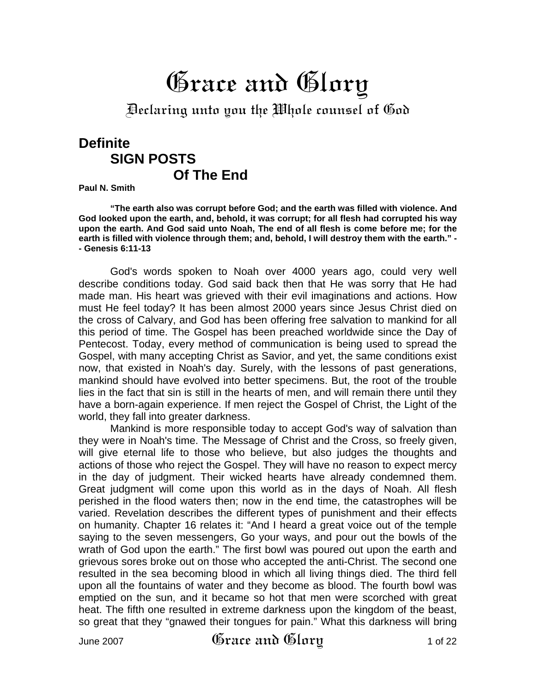# Grace and Glory

Declaring unto you the Whole counsel of God

# **Definite SIGN POSTS Of The End**

**Paul N. Smith** 

**"The earth also was corrupt before God; and the earth was filled with violence. And God looked upon the earth, and, behold, it was corrupt; for all flesh had corrupted his way upon the earth. And God said unto Noah, The end of all flesh is come before me; for the earth is filled with violence through them; and, behold, I will destroy them with the earth." - - Genesis 6:11-13** 

God's words spoken to Noah over 4000 years ago, could very well describe conditions today. God said back then that He was sorry that He had made man. His heart was grieved with their evil imaginations and actions. How must He feel today? It has been almost 2000 years since Jesus Christ died on the cross of Calvary, and God has been offering free salvation to mankind for all this period of time. The Gospel has been preached worldwide since the Day of Pentecost. Today, every method of communication is being used to spread the Gospel, with many accepting Christ as Savior, and yet, the same conditions exist now, that existed in Noah's day. Surely, with the lessons of past generations, mankind should have evolved into better specimens. But, the root of the trouble lies in the fact that sin is still in the hearts of men, and will remain there until they have a born-again experience. If men reject the Gospel of Christ, the Light of the world, they fall into greater darkness.

Mankind is more responsible today to accept God's way of salvation than they were in Noah's time. The Message of Christ and the Cross, so freely given, will give eternal life to those who believe, but also judges the thoughts and actions of those who reject the Gospel. They will have no reason to expect mercy in the day of judgment. Their wicked hearts have already condemned them. Great judgment will come upon this world as in the days of Noah. All flesh perished in the flood waters then; now in the end time, the catastrophes will be varied. Revelation describes the different types of punishment and their effects on humanity. Chapter 16 relates it: "And I heard a great voice out of the temple saying to the seven messengers, Go your ways, and pour out the bowls of the wrath of God upon the earth." The first bowl was poured out upon the earth and grievous sores broke out on those who accepted the anti-Christ. The second one resulted in the sea becoming blood in which all living things died. The third fell upon all the fountains of water and they become as blood. The fourth bowl was emptied on the sun, and it became so hot that men were scorched with great heat. The fifth one resulted in extreme darkness upon the kingdom of the beast, so great that they "gnawed their tongues for pain." What this darkness will bring

June 2007  $\mathfrak{G}$ race and  $\mathfrak{G}$ lory 1 of 22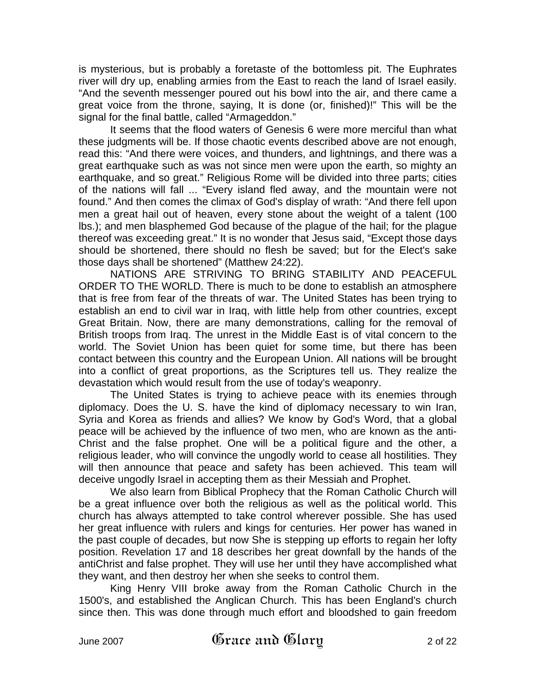is mysterious, but is probably a foretaste of the bottomless pit. The Euphrates river will dry up, enabling armies from the East to reach the land of Israel easily. "And the seventh messenger poured out his bowl into the air, and there came a great voice from the throne, saying, It is done (or, finished)!" This will be the signal for the final battle, called "Armageddon."

It seems that the flood waters of Genesis 6 were more merciful than what these judgments will be. If those chaotic events described above are not enough, read this: "And there were voices, and thunders, and lightnings, and there was a great earthquake such as was not since men were upon the earth, so mighty an earthquake, and so great." Religious Rome will be divided into three parts; cities of the nations will fall ... "Every island fled away, and the mountain were not found." And then comes the climax of God's display of wrath: "And there fell upon men a great hail out of heaven, every stone about the weight of a talent (100 lbs.); and men blasphemed God because of the plague of the hail; for the plague thereof was exceeding great." It is no wonder that Jesus said, "Except those days should be shortened, there should no flesh be saved; but for the Elect's sake those days shall be shortened" (Matthew 24:22).

NATIONS ARE STRIVING TO BRING STABILITY AND PEACEFUL ORDER TO THE WORLD. There is much to be done to establish an atmosphere that is free from fear of the threats of war. The United States has been trying to establish an end to civil war in Iraq, with little help from other countries, except Great Britain. Now, there are many demonstrations, calling for the removal of British troops from Iraq. The unrest in the Middle East is of vital concern to the world. The Soviet Union has been quiet for some time, but there has been contact between this country and the European Union. All nations will be brought into a conflict of great proportions, as the Scriptures tell us. They realize the devastation which would result from the use of today's weaponry.

The United States is trying to achieve peace with its enemies through diplomacy. Does the U. S. have the kind of diplomacy necessary to win Iran, Syria and Korea as friends and allies? We know by God's Word, that a global peace will be achieved by the influence of two men, who are known as the anti-Christ and the false prophet. One will be a political figure and the other, a religious leader, who will convince the ungodly world to cease all hostilities. They will then announce that peace and safety has been achieved. This team will deceive ungodly Israel in accepting them as their Messiah and Prophet.

We also learn from Biblical Prophecy that the Roman Catholic Church will be a great influence over both the religious as well as the political world. This church has always attempted to take control wherever possible. She has used her great influence with rulers and kings for centuries. Her power has waned in the past couple of decades, but now She is stepping up efforts to regain her lofty position. Revelation 17 and 18 describes her great downfall by the hands of the antiChrist and false prophet. They will use her until they have accomplished what they want, and then destroy her when she seeks to control them.

King Henry VIII broke away from the Roman Catholic Church in the 1500's, and established the Anglican Church. This has been England's church since then. This was done through much effort and bloodshed to gain freedom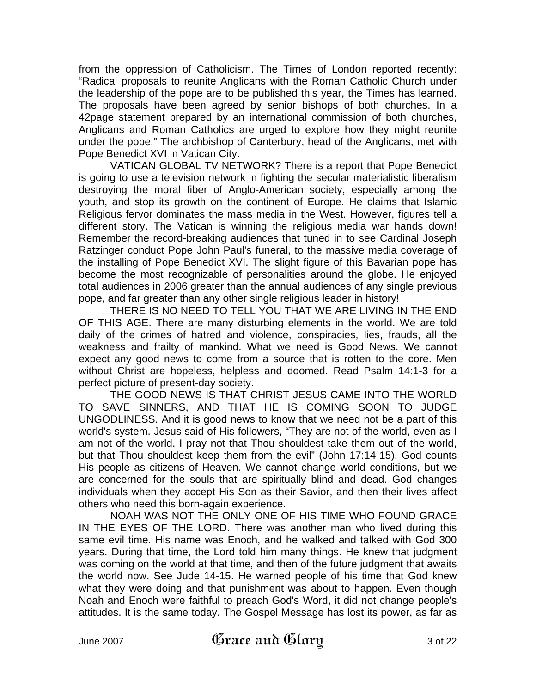from the oppression of Catholicism. The Times of London reported recently: "Radical proposals to reunite Anglicans with the Roman Catholic Church under the leadership of the pope are to be published this year, the Times has learned. The proposals have been agreed by senior bishops of both churches. In a 42page statement prepared by an international commission of both churches, Anglicans and Roman Catholics are urged to explore how they might reunite under the pope." The archbishop of Canterbury, head of the Anglicans, met with Pope Benedict XVI in Vatican City.

VATICAN GLOBAL TV NETWORK? There is a report that Pope Benedict is going to use a television network in fighting the secular materialistic liberalism destroying the moral fiber of Anglo-American society, especially among the youth, and stop its growth on the continent of Europe. He claims that Islamic Religious fervor dominates the mass media in the West. However, figures tell a different story. The Vatican is winning the religious media war hands down! Remember the record-breaking audiences that tuned in to see Cardinal Joseph Ratzinger conduct Pope John Paul's funeral, to the massive media coverage of the installing of Pope Benedict XVI. The slight figure of this Bavarian pope has become the most recognizable of personalities around the globe. He enjoyed total audiences in 2006 greater than the annual audiences of any single previous pope, and far greater than any other single religious leader in history!

THERE IS NO NEED TO TELL YOU THAT WE ARE LIVING IN THE END OF THIS AGE. There are many disturbing elements in the world. We are told daily of the crimes of hatred and violence, conspiracies, lies, frauds, all the weakness and frailty of mankind. What we need is Good News. We cannot expect any good news to come from a source that is rotten to the core. Men without Christ are hopeless, helpless and doomed. Read Psalm 14:1-3 for a perfect picture of present-day society.

THE GOOD NEWS IS THAT CHRIST JESUS CAME INTO THE WORLD TO SAVE SINNERS, AND THAT HE IS COMING SOON TO JUDGE UNGODLINESS. And it is good news to know that we need not be a part of this world's system. Jesus said of His followers, "They are not of the world, even as I am not of the world. I pray not that Thou shouldest take them out of the world, but that Thou shouldest keep them from the evil" (John 17:14-15). God counts His people as citizens of Heaven. We cannot change world conditions, but we are concerned for the souls that are spiritually blind and dead. God changes individuals when they accept His Son as their Savior, and then their lives affect others who need this born-again experience.

NOAH WAS NOT THE ONLY ONE OF HIS TIME WHO FOUND GRACE IN THE EYES OF THE LORD. There was another man who lived during this same evil time. His name was Enoch, and he walked and talked with God 300 years. During that time, the Lord told him many things. He knew that judgment was coming on the world at that time, and then of the future judgment that awaits the world now. See Jude 14-15. He warned people of his time that God knew what they were doing and that punishment was about to happen. Even though Noah and Enoch were faithful to preach God's Word, it did not change people's attitudes. It is the same today. The Gospel Message has lost its power, as far as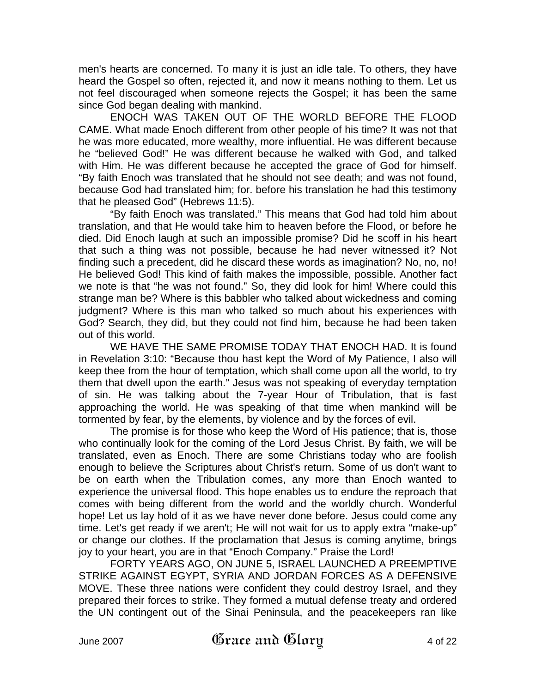men's hearts are concerned. To many it is just an idle tale. To others, they have heard the Gospel so often, rejected it, and now it means nothing to them. Let us not feel discouraged when someone rejects the Gospel; it has been the same since God began dealing with mankind.

ENOCH WAS TAKEN OUT OF THE WORLD BEFORE THE FLOOD CAME. What made Enoch different from other people of his time? It was not that he was more educated, more wealthy, more influential. He was different because he "believed God!" He was different because he walked with God, and talked with Him. He was different because he accepted the grace of God for himself. "By faith Enoch was translated that he should not see death; and was not found, because God had translated him; for. before his translation he had this testimony that he pleased God" (Hebrews 11:5).

"By faith Enoch was translated." This means that God had told him about translation, and that He would take him to heaven before the Flood, or before he died. Did Enoch laugh at such an impossible promise? Did he scoff in his heart that such a thing was not possible, because he had never witnessed it? Not finding such a precedent, did he discard these words as imagination? No, no, no! He believed God! This kind of faith makes the impossible, possible. Another fact we note is that "he was not found." So, they did look for him! Where could this strange man be? Where is this babbler who talked about wickedness and coming judgment? Where is this man who talked so much about his experiences with God? Search, they did, but they could not find him, because he had been taken out of this world.

WE HAVE THE SAME PROMISE TODAY THAT ENOCH HAD. It is found in Revelation 3:10: "Because thou hast kept the Word of My Patience, I also will keep thee from the hour of temptation, which shall come upon all the world, to try them that dwell upon the earth." Jesus was not speaking of everyday temptation of sin. He was talking about the 7-year Hour of Tribulation, that is fast approaching the world. He was speaking of that time when mankind will be tormented by fear, by the elements, by violence and by the forces of evil.

The promise is for those who keep the Word of His patience; that is, those who continually look for the coming of the Lord Jesus Christ. By faith, we will be translated, even as Enoch. There are some Christians today who are foolish enough to believe the Scriptures about Christ's return. Some of us don't want to be on earth when the Tribulation comes, any more than Enoch wanted to experience the universal flood. This hope enables us to endure the reproach that comes with being different from the world and the worldly church. Wonderful hope! Let us lay hold of it as we have never done before. Jesus could come any time. Let's get ready if we aren't; He will not wait for us to apply extra "make-up" or change our clothes. If the proclamation that Jesus is coming anytime, brings joy to your heart, you are in that "Enoch Company." Praise the Lord!

FORTY YEARS AGO, ON JUNE 5, ISRAEL LAUNCHED A PREEMPTIVE STRIKE AGAINST EGYPT, SYRIA AND JORDAN FORCES AS A DEFENSIVE MOVE. These three nations were confident they could destroy Israel, and they prepared their forces to strike. They formed a mutual defense treaty and ordered the UN contingent out of the Sinai Peninsula, and the peacekeepers ran like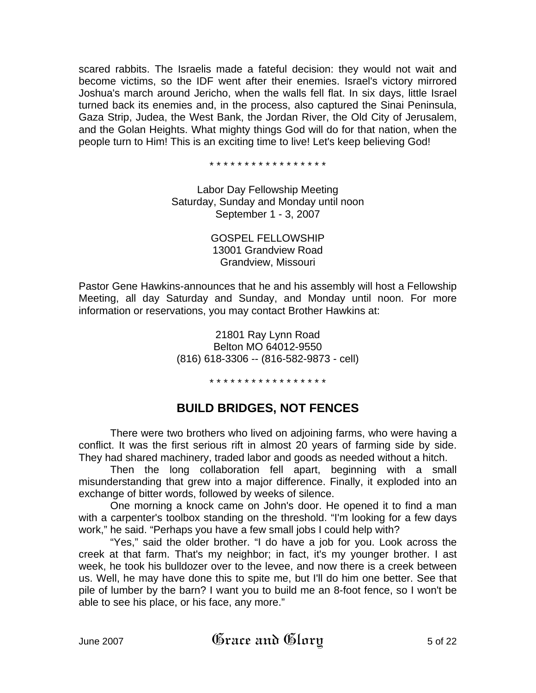scared rabbits. The Israelis made a fateful decision: they would not wait and become victims, so the IDF went after their enemies. Israel's victory mirrored Joshua's march around Jericho, when the walls fell flat. In six days, little Israel turned back its enemies and, in the process, also captured the Sinai Peninsula, Gaza Strip, Judea, the West Bank, the Jordan River, the Old City of Jerusalem, and the Golan Heights. What mighty things God will do for that nation, when the people turn to Him! This is an exciting time to live! Let's keep believing God!

\* \* \* \* \* \* \* \* \* \* \* \* \* \* \* \* \*

Labor Day Fellowship Meeting Saturday, Sunday and Monday until noon September 1 - 3, 2007

> GOSPEL FELLOWSHIP 13001 Grandview Road Grandview, Missouri

Pastor Gene Hawkins-announces that he and his assembly will host a Fellowship Meeting, all day Saturday and Sunday, and Monday until noon. For more information or reservations, you may contact Brother Hawkins at:

> 21801 Ray Lynn Road Belton MO 64012-9550 (816) 618-3306 -- (816-582-9873 - cell)

> > \* \* \* \* \* \* \* \* \* \* \* \* \* \* \* \* \*

# **BUILD BRIDGES, NOT FENCES**

There were two brothers who lived on adjoining farms, who were having a conflict. It was the first serious rift in almost 20 years of farming side by side. They had shared machinery, traded labor and goods as needed without a hitch.

Then the long collaboration fell apart, beginning with a small misunderstanding that grew into a major difference. Finally, it exploded into an exchange of bitter words, followed by weeks of silence.

One morning a knock came on John's door. He opened it to find a man with a carpenter's toolbox standing on the threshold. "I'm looking for a few days work," he said. "Perhaps you have a few small jobs I could help with?

"Yes," said the older brother. "I do have a job for you. Look across the creek at that farm. That's my neighbor; in fact, it's my younger brother. I ast week, he took his bulldozer over to the levee, and now there is a creek between us. Well, he may have done this to spite me, but I'll do him one better. See that pile of lumber by the barn? I want you to build me an 8-foot fence, so I won't be able to see his place, or his face, any more."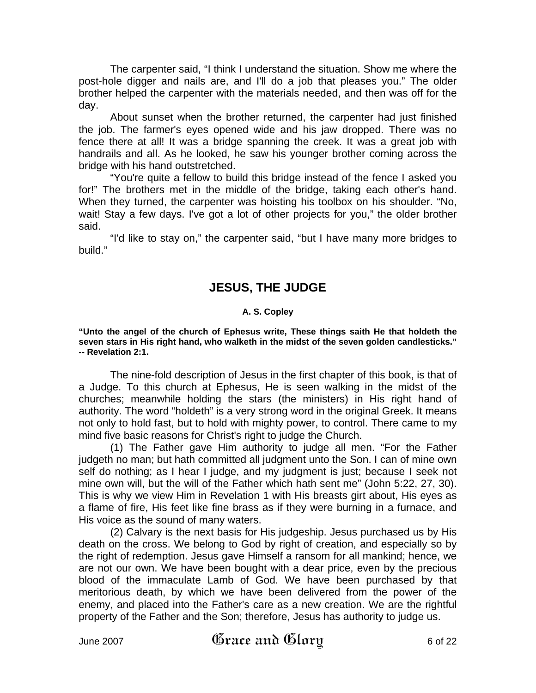The carpenter said, "I think I understand the situation. Show me where the post-hole digger and nails are, and I'll do a job that pleases you." The older brother helped the carpenter with the materials needed, and then was off for the day.

About sunset when the brother returned, the carpenter had just finished the job. The farmer's eyes opened wide and his jaw dropped. There was no fence there at all! It was a bridge spanning the creek. It was a great job with handrails and all. As he looked, he saw his younger brother coming across the bridge with his hand outstretched.

"You're quite a fellow to build this bridge instead of the fence I asked you for!" The brothers met in the middle of the bridge, taking each other's hand. When they turned, the carpenter was hoisting his toolbox on his shoulder. "No, wait! Stay a few days. I've got a lot of other projects for you," the older brother said.

"I'd like to stay on," the carpenter said, "but I have many more bridges to build."

## **JESUS, THE JUDGE**

#### **A. S. Copley**

**"Unto the angel of the church of Ephesus write, These things saith He that holdeth the seven stars in His right hand, who walketh in the midst of the seven golden candlesticks." -- Revelation 2:1.** 

The nine-fold description of Jesus in the first chapter of this book, is that of a Judge. To this church at Ephesus, He is seen walking in the midst of the churches; meanwhile holding the stars (the ministers) in His right hand of authority. The word "holdeth" is a very strong word in the original Greek. It means not only to hold fast, but to hold with mighty power, to control. There came to my mind five basic reasons for Christ's right to judge the Church.

(1) The Father gave Him authority to judge all men. "For the Father judgeth no man; but hath committed all judgment unto the Son. I can of mine own self do nothing; as I hear I judge, and my judgment is just; because I seek not mine own will, but the will of the Father which hath sent me" (John 5:22, 27, 30). This is why we view Him in Revelation 1 with His breasts girt about, His eyes as a flame of fire, His feet like fine brass as if they were burning in a furnace, and His voice as the sound of many waters.

(2) Calvary is the next basis for His judgeship. Jesus purchased us by His death on the cross. We belong to God by right of creation, and especially so by the right of redemption. Jesus gave Himself a ransom for all mankind; hence, we are not our own. We have been bought with a dear price, even by the precious blood of the immaculate Lamb of God. We have been purchased by that meritorious death, by which we have been delivered from the power of the enemy, and placed into the Father's care as a new creation. We are the rightful property of the Father and the Son; therefore, Jesus has authority to judge us.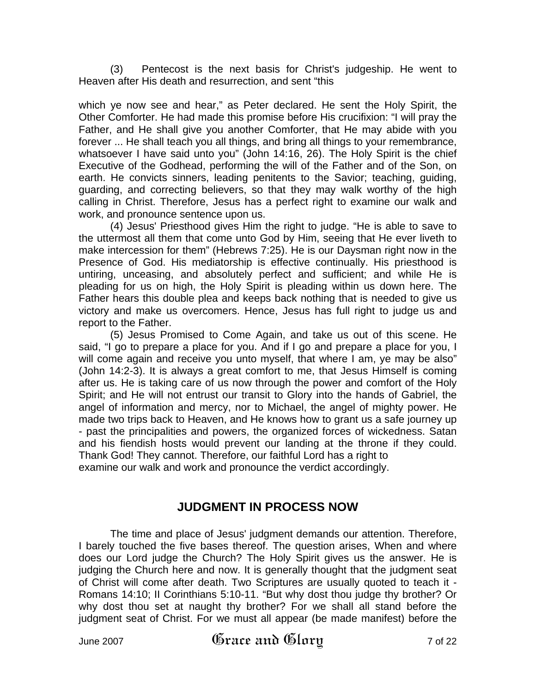(3) Pentecost is the next basis for Christ's judgeship. He went to Heaven after His death and resurrection, and sent "this

which ye now see and hear," as Peter declared. He sent the Holy Spirit, the Other Comforter. He had made this promise before His crucifixion: "I will pray the Father, and He shall give you another Comforter, that He may abide with you forever ... He shall teach you all things, and bring all things to your remembrance, whatsoever I have said unto you" (John 14:16, 26). The Holy Spirit is the chief Executive of the Godhead, performing the will of the Father and of the Son, on earth. He convicts sinners, leading penitents to the Savior; teaching, guiding, guarding, and correcting believers, so that they may walk worthy of the high calling in Christ. Therefore, Jesus has a perfect right to examine our walk and work, and pronounce sentence upon us.

(4) Jesus' Priesthood gives Him the right to judge. "He is able to save to the uttermost all them that come unto God by Him, seeing that He ever liveth to make intercession for them" (Hebrews 7:25). He is our Daysman right now in the Presence of God. His mediatorship is effective continually. His priesthood is untiring, unceasing, and absolutely perfect and sufficient; and while He is pleading for us on high, the Holy Spirit is pleading within us down here. The Father hears this double plea and keeps back nothing that is needed to give us victory and make us overcomers. Hence, Jesus has full right to judge us and report to the Father.

(5) Jesus Promised to Come Again, and take us out of this scene. He said, "I go to prepare a place for you. And if I go and prepare a place for you, I will come again and receive you unto myself, that where I am, ye may be also" (John 14:2-3). It is always a great comfort to me, that Jesus Himself is coming after us. He is taking care of us now through the power and comfort of the Holy Spirit; and He will not entrust our transit to Glory into the hands of Gabriel, the angel of information and mercy, nor to Michael, the angel of mighty power. He made two trips back to Heaven, and He knows how to grant us a safe journey up - past the principalities and powers, the organized forces of wickedness. Satan and his fiendish hosts would prevent our landing at the throne if they could. Thank God! They cannot. Therefore, our faithful Lord has a right to examine our walk and work and pronounce the verdict accordingly.

## **JUDGMENT IN PROCESS NOW**

The time and place of Jesus' judgment demands our attention. Therefore, I barely touched the five bases thereof. The question arises, When and where does our Lord judge the Church? The Holy Spirit gives us the answer. He is judging the Church here and now. It is generally thought that the judgment seat of Christ will come after death. Two Scriptures are usually quoted to teach it - Romans 14:10; II Corinthians 5:10-11. "But why dost thou judge thy brother? Or why dost thou set at naught thy brother? For we shall all stand before the judgment seat of Christ. For we must all appear (be made manifest) before the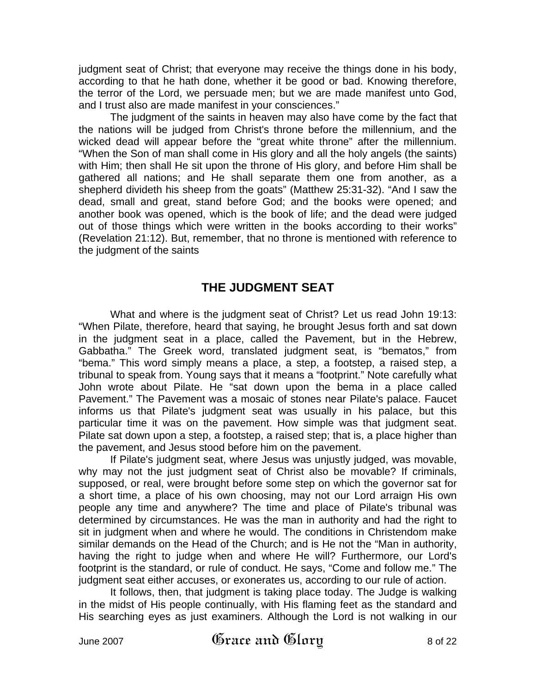judgment seat of Christ; that everyone may receive the things done in his body, according to that he hath done, whether it be good or bad. Knowing therefore, the terror of the Lord, we persuade men; but we are made manifest unto God, and I trust also are made manifest in your consciences."

The judgment of the saints in heaven may also have come by the fact that the nations will be judged from Christ's throne before the millennium, and the wicked dead will appear before the "great white throne" after the millennium. "When the Son of man shall come in His glory and all the holy angels (the saints) with Him; then shall He sit upon the throne of His glory, and before Him shall be gathered all nations; and He shall separate them one from another, as a shepherd divideth his sheep from the goats" (Matthew 25:31-32). "And I saw the dead, small and great, stand before God; and the books were opened; and another book was opened, which is the book of life; and the dead were judged out of those things which were written in the books according to their works" (Revelation 21:12). But, remember, that no throne is mentioned with reference to the judgment of the saints

## **THE JUDGMENT SEAT**

What and where is the judgment seat of Christ? Let us read John 19:13: "When Pilate, therefore, heard that saying, he brought Jesus forth and sat down in the judgment seat in a place, called the Pavement, but in the Hebrew, Gabbatha." The Greek word, translated judgment seat, is "bematos," from "bema." This word simply means a place, a step, a footstep, a raised step, a tribunal to speak from. Young says that it means a "footprint." Note carefully what John wrote about Pilate. He "sat down upon the bema in a place called Pavement." The Pavement was a mosaic of stones near Pilate's palace. Faucet informs us that Pilate's judgment seat was usually in his palace, but this particular time it was on the pavement. How simple was that judgment seat. Pilate sat down upon a step, a footstep, a raised step; that is, a place higher than the pavement, and Jesus stood before him on the pavement.

If Pilate's judgment seat, where Jesus was unjustly judged, was movable, why may not the just judgment seat of Christ also be movable? If criminals, supposed, or real, were brought before some step on which the governor sat for a short time, a place of his own choosing, may not our Lord arraign His own people any time and anywhere? The time and place of Pilate's tribunal was determined by circumstances. He was the man in authority and had the right to sit in judgment when and where he would. The conditions in Christendom make similar demands on the Head of the Church; and is He not the "Man in authority, having the right to judge when and where He will? Furthermore, our Lord's footprint is the standard, or rule of conduct. He says, "Come and follow me." The judgment seat either accuses, or exonerates us, according to our rule of action.

It follows, then, that judgment is taking place today. The Judge is walking in the midst of His people continually, with His flaming feet as the standard and His searching eyes as just examiners. Although the Lord is not walking in our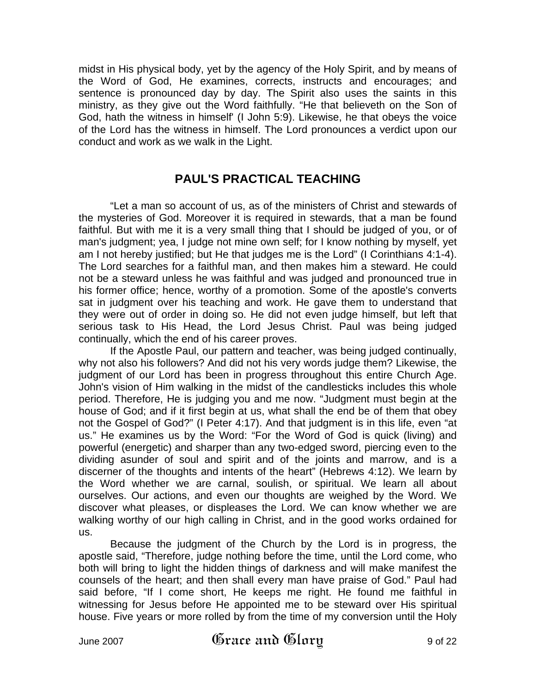midst in His physical body, yet by the agency of the Holy Spirit, and by means of the Word of God, He examines, corrects, instructs and encourages; and sentence is pronounced day by day. The Spirit also uses the saints in this ministry, as they give out the Word faithfully. "He that believeth on the Son of God, hath the witness in himself' (I John 5:9). Likewise, he that obeys the voice of the Lord has the witness in himself. The Lord pronounces a verdict upon our conduct and work as we walk in the Light.

## **PAUL'S PRACTICAL TEACHING**

"Let a man so account of us, as of the ministers of Christ and stewards of the mysteries of God. Moreover it is required in stewards, that a man be found faithful. But with me it is a very small thing that I should be judged of you, or of man's judgment; yea, I judge not mine own self; for I know nothing by myself, yet am I not hereby justified; but He that judges me is the Lord" (I Corinthians 4:1-4). The Lord searches for a faithful man, and then makes him a steward. He could not be a steward unless he was faithful and was judged and pronounced true in his former office; hence, worthy of a promotion. Some of the apostle's converts sat in judgment over his teaching and work. He gave them to understand that they were out of order in doing so. He did not even judge himself, but left that serious task to His Head, the Lord Jesus Christ. Paul was being judged continually, which the end of his career proves.

If the Apostle Paul, our pattern and teacher, was being judged continually, why not also his followers? And did not his very words judge them? Likewise, the judgment of our Lord has been in progress throughout this entire Church Age. John's vision of Him walking in the midst of the candlesticks includes this whole period. Therefore, He is judging you and me now. "Judgment must begin at the house of God; and if it first begin at us, what shall the end be of them that obey not the Gospel of God?" (I Peter 4:17). And that judgment is in this life, even "at us." He examines us by the Word: "For the Word of God is quick (living) and powerful (energetic) and sharper than any two-edged sword, piercing even to the dividing asunder of soul and spirit and of the joints and marrow, and is a discerner of the thoughts and intents of the heart" (Hebrews 4:12). We learn by the Word whether we are carnal, soulish, or spiritual. We learn all about ourselves. Our actions, and even our thoughts are weighed by the Word. We discover what pleases, or displeases the Lord. We can know whether we are walking worthy of our high calling in Christ, and in the good works ordained for us.

Because the judgment of the Church by the Lord is in progress, the apostle said, "Therefore, judge nothing before the time, until the Lord come, who both will bring to light the hidden things of darkness and will make manifest the counsels of the heart; and then shall every man have praise of God." Paul had said before, "If I come short, He keeps me right. He found me faithful in witnessing for Jesus before He appointed me to be steward over His spiritual house. Five years or more rolled by from the time of my conversion until the Holy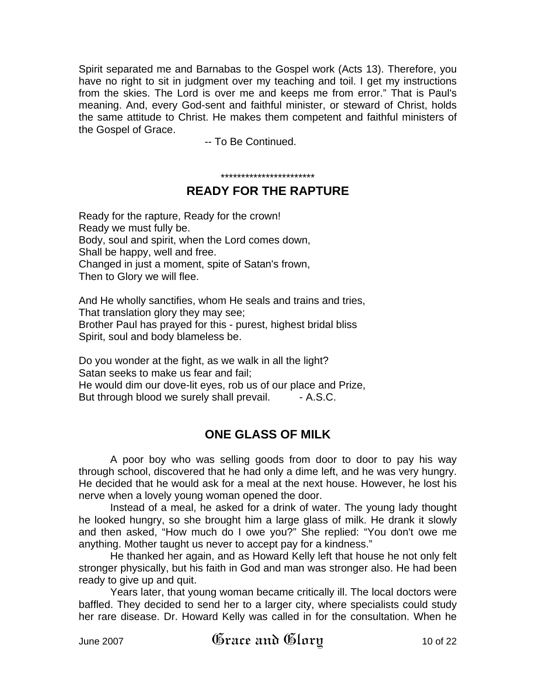Spirit separated me and Barnabas to the Gospel work (Acts 13). Therefore, you have no right to sit in judgment over my teaching and toil. I get my instructions from the skies. The Lord is over me and keeps me from error." That is Paul's meaning. And, every God-sent and faithful minister, or steward of Christ, holds the same attitude to Christ. He makes them competent and faithful ministers of the Gospel of Grace.

-- To Be Continued.

#### \*\*\*\*\*\*\*\*\*\*\*\*\*\*\*\*\*\*\*\*\*\*\* **READY FOR THE RAPTURE**

Ready for the rapture, Ready for the crown! Ready we must fully be. Body, soul and spirit, when the Lord comes down, Shall be happy, well and free. Changed in just a moment, spite of Satan's frown, Then to Glory we will flee.

And He wholly sanctifies, whom He seals and trains and tries, That translation glory they may see; Brother Paul has prayed for this - purest, highest bridal bliss Spirit, soul and body blameless be.

Do you wonder at the fight, as we walk in all the light? Satan seeks to make us fear and fail; He would dim our dove-lit eyes, rob us of our place and Prize, But through blood we surely shall prevail. - A.S.C.

## **ONE GLASS OF MILK**

A poor boy who was selling goods from door to door to pay his way through school, discovered that he had only a dime left, and he was very hungry. He decided that he would ask for a meal at the next house. However, he lost his nerve when a lovely young woman opened the door.

Instead of a meal, he asked for a drink of water. The young lady thought he looked hungry, so she brought him a large glass of milk. He drank it slowly and then asked, "How much do I owe you?" She replied: "You don't owe me anything. Mother taught us never to accept pay for a kindness."

He thanked her again, and as Howard Kelly left that house he not only felt stronger physically, but his faith in God and man was stronger also. He had been ready to give up and quit.

Years later, that young woman became critically ill. The local doctors were baffled. They decided to send her to a larger city, where specialists could study her rare disease. Dr. Howard Kelly was called in for the consultation. When he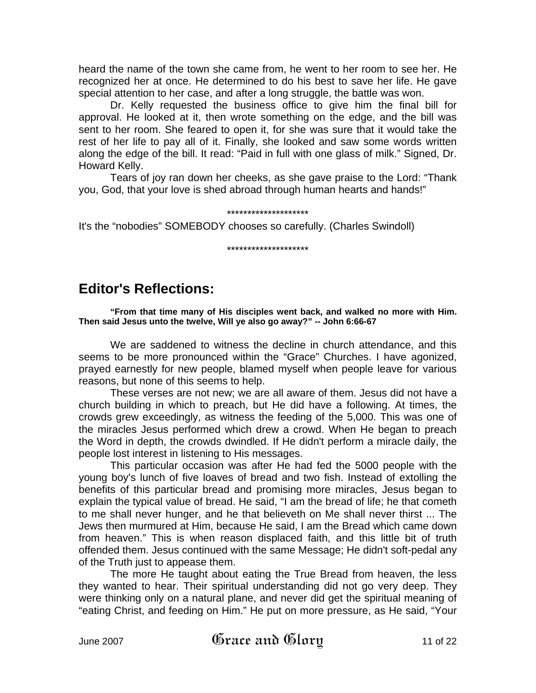heard the name of the town she came from, he went to her room to see her. He recognized her at once. He determined to do his best to save her life. He gave special attention to her case, and after a long struggle, the battle was won.

Dr. Kelly requested the business office to give him the final bill for approval. He looked at it, then wrote something on the edge, and the bill was sent to her room. She feared to open it, for she was sure that it would take the rest of her life to pay all of it. Finally, she looked and saw some words written along the edge of the bill. It read: "Paid in full with one glass of milk." Signed, Dr. Howard Kelly.

Tears of joy ran down her cheeks, as she gave praise to the Lord: "Thank you, God, that your love is shed abroad through human hearts and hands!"

#### \*\*\*\*\*\*\*\*\*\*\*\*\*\*\*\*\*\*\*\*

It's the "nobodies" SOMEBODY chooses so carefully. (Charles Swindoll)

#### \*\*\*\*\*\*\*\*\*\*\*\*\*\*\*\*\*\*\*\*

# **Editor's Reflections:**

**"From that time many of His disciples went back, and walked no more with Him. Then said Jesus unto the twelve, Will ye also go away?" -- John 6:66-67** 

We are saddened to witness the decline in church attendance, and this seems to be more pronounced within the "Grace" Churches. I have agonized, prayed earnestly for new people, blamed myself when people leave for various reasons, but none of this seems to help.

These verses are not new; we are all aware of them. Jesus did not have a church building in which to preach, but He did have a following. At times, the crowds grew exceedingly, as witness the feeding of the 5,000. This was one of the miracles Jesus performed which drew a crowd. When He began to preach the Word in depth, the crowds dwindled. If He didn't perform a miracle daily, the people lost interest in listening to His messages.

This particular occasion was after He had fed the 5000 people with the young boy's lunch of five loaves of bread and two fish. Instead of extolling the benefits of this particular bread and promising more miracles, Jesus began to explain the typical value of bread. He said, "I am the bread of life; he that cometh to me shall never hunger, and he that believeth on Me shall never thirst ... The Jews then murmured at Him, because He said, I am the Bread which came down from heaven." This is when reason displaced faith, and this little bit of truth offended them. Jesus continued with the same Message; He didn't soft-pedal any of the Truth just to appease them.

The more He taught about eating the True Bread from heaven, the less they wanted to hear. Their spiritual understanding did not go very deep. They were thinking only on a natural plane, and never did get the spiritual meaning of "eating Christ, and feeding on Him." He put on more pressure, as He said, "Your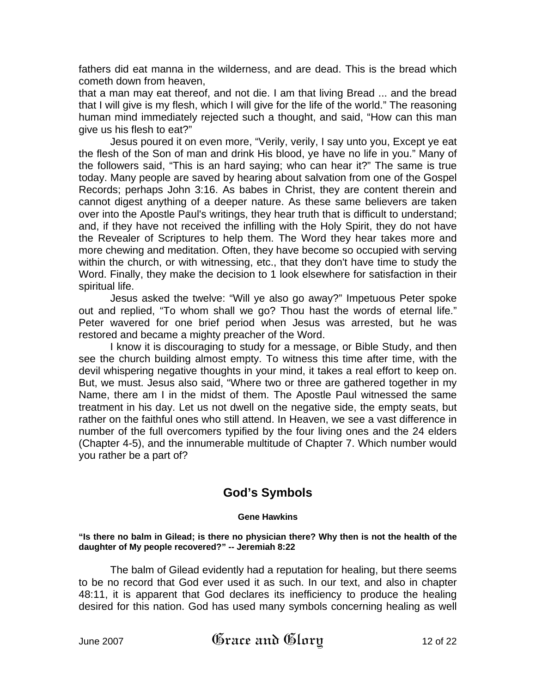fathers did eat manna in the wilderness, and are dead. This is the bread which cometh down from heaven,

that a man may eat thereof, and not die. I am that living Bread ... and the bread that I will give is my flesh, which I will give for the life of the world." The reasoning human mind immediately rejected such a thought, and said, "How can this man give us his flesh to eat?"

Jesus poured it on even more, "Verily, verily, I say unto you, Except ye eat the flesh of the Son of man and drink His blood, ye have no life in you." Many of the followers said, "This is an hard saying; who can hear it?" The same is true today. Many people are saved by hearing about salvation from one of the Gospel Records; perhaps John 3:16. As babes in Christ, they are content therein and cannot digest anything of a deeper nature. As these same believers are taken over into the Apostle Paul's writings, they hear truth that is difficult to understand; and, if they have not received the infilling with the Holy Spirit, they do not have the Revealer of Scriptures to help them. The Word they hear takes more and more chewing and meditation. Often, they have become so occupied with serving within the church, or with witnessing, etc., that they don't have time to study the Word. Finally, they make the decision to 1 look elsewhere for satisfaction in their spiritual life.

Jesus asked the twelve: "Will ye also go away?" Impetuous Peter spoke out and replied, "To whom shall we go? Thou hast the words of eternal life." Peter wavered for one brief period when Jesus was arrested, but he was restored and became a mighty preacher of the Word.

I know it is discouraging to study for a message, or Bible Study, and then see the church building almost empty. To witness this time after time, with the devil whispering negative thoughts in your mind, it takes a real effort to keep on. But, we must. Jesus also said, "Where two or three are gathered together in my Name, there am I in the midst of them. The Apostle Paul witnessed the same treatment in his day. Let us not dwell on the negative side, the empty seats, but rather on the faithful ones who still attend. In Heaven, we see a vast difference in number of the full overcomers typified by the four living ones and the 24 elders (Chapter 4-5), and the innumerable multitude of Chapter 7. Which number would you rather be a part of?

## **God's Symbols**

#### **Gene Hawkins**

**"Is there no balm in Gilead; is there no physician there? Why then is not the health of the daughter of My people recovered?" -- Jeremiah 8:22** 

The balm of Gilead evidently had a reputation for healing, but there seems to be no record that God ever used it as such. In our text, and also in chapter 48:11, it is apparent that God declares its inefficiency to produce the healing desired for this nation. God has used many symbols concerning healing as well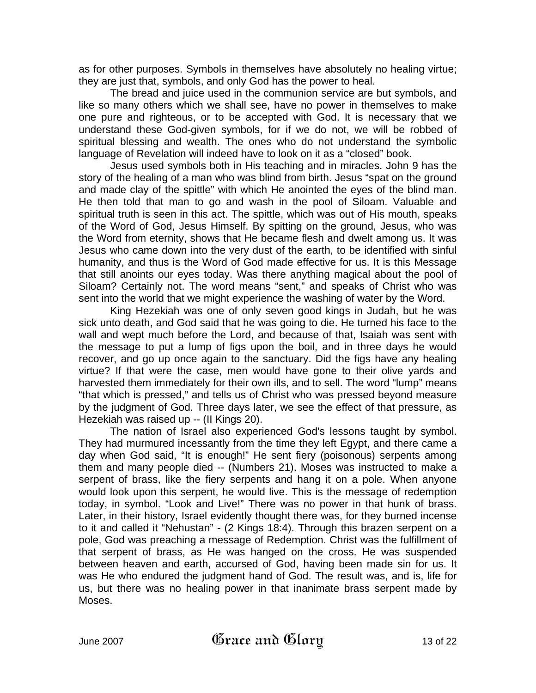as for other purposes. Symbols in themselves have absolutely no healing virtue; they are just that, symbols, and only God has the power to heal.

The bread and juice used in the communion service are but symbols, and like so many others which we shall see, have no power in themselves to make one pure and righteous, or to be accepted with God. It is necessary that we understand these God-given symbols, for if we do not, we will be robbed of spiritual blessing and wealth. The ones who do not understand the symbolic language of Revelation will indeed have to look on it as a "closed" book.

Jesus used symbols both in His teaching and in miracles. John 9 has the story of the healing of a man who was blind from birth. Jesus "spat on the ground and made clay of the spittle" with which He anointed the eyes of the blind man. He then told that man to go and wash in the pool of Siloam. Valuable and spiritual truth is seen in this act. The spittle, which was out of His mouth, speaks of the Word of God, Jesus Himself. By spitting on the ground, Jesus, who was the Word from eternity, shows that He became flesh and dwelt among us. It was Jesus who came down into the very dust of the earth, to be identified with sinful humanity, and thus is the Word of God made effective for us. It is this Message that still anoints our eyes today. Was there anything magical about the pool of Siloam? Certainly not. The word means "sent," and speaks of Christ who was sent into the world that we might experience the washing of water by the Word.

King Hezekiah was one of only seven good kings in Judah, but he was sick unto death, and God said that he was going to die. He turned his face to the wall and wept much before the Lord, and because of that, Isaiah was sent with the message to put a lump of figs upon the boil, and in three days he would recover, and go up once again to the sanctuary. Did the figs have any healing virtue? If that were the case, men would have gone to their olive yards and harvested them immediately for their own ills, and to sell. The word "lump" means "that which is pressed," and tells us of Christ who was pressed beyond measure by the judgment of God. Three days later, we see the effect of that pressure, as Hezekiah was raised up -- (II Kings 20).

The nation of Israel also experienced God's lessons taught by symbol. They had murmured incessantly from the time they left Egypt, and there came a day when God said, "It is enough!" He sent fiery (poisonous) serpents among them and many people died -- (Numbers 21). Moses was instructed to make a serpent of brass, like the fiery serpents and hang it on a pole. When anyone would look upon this serpent, he would live. This is the message of redemption today, in symbol. "Look and Live!" There was no power in that hunk of brass. Later, in their history, Israel evidently thought there was, for they burned incense to it and called it "Nehustan" - (2 Kings 18:4). Through this brazen serpent on a pole, God was preaching a message of Redemption. Christ was the fulfillment of that serpent of brass, as He was hanged on the cross. He was suspended between heaven and earth, accursed of God, having been made sin for us. It was He who endured the judgment hand of God. The result was, and is, life for us, but there was no healing power in that inanimate brass serpent made by Moses.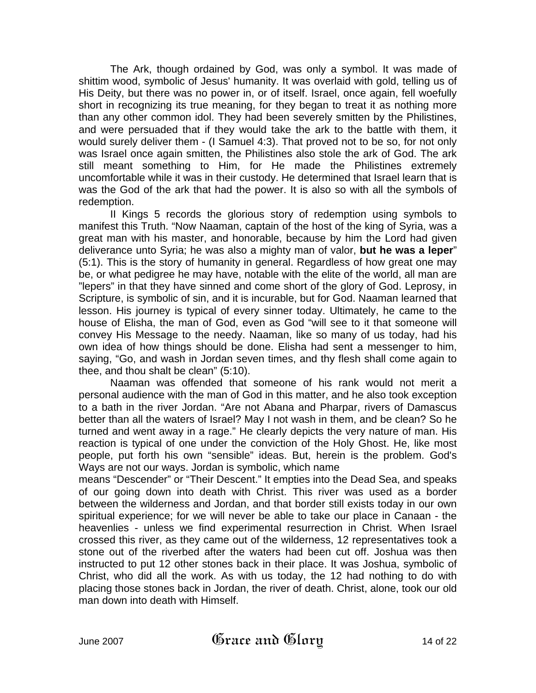The Ark, though ordained by God, was only a symbol. It was made of shittim wood, symbolic of Jesus' humanity. It was overlaid with gold, telling us of His Deity, but there was no power in, or of itself. Israel, once again, fell woefully short in recognizing its true meaning, for they began to treat it as nothing more than any other common idol. They had been severely smitten by the Philistines, and were persuaded that if they would take the ark to the battle with them, it would surely deliver them - (I Samuel 4:3). That proved not to be so, for not only was Israel once again smitten, the Philistines also stole the ark of God. The ark still meant something to Him, for He made the Philistines extremely uncomfortable while it was in their custody. He determined that Israel learn that is was the God of the ark that had the power. It is also so with all the symbols of redemption.

II Kings 5 records the glorious story of redemption using symbols to manifest this Truth. "Now Naaman, captain of the host of the king of Syria, was a great man with his master, and honorable, because by him the Lord had given deliverance unto Syria; he was also a mighty man of valor, **but he was a leper**" (5:1). This is the story of humanity in general. Regardless of how great one may be, or what pedigree he may have, notable with the elite of the world, all man are "lepers" in that they have sinned and come short of the glory of God. Leprosy, in Scripture, is symbolic of sin, and it is incurable, but for God. Naaman learned that lesson. His journey is typical of every sinner today. Ultimately, he came to the house of Elisha, the man of God, even as God "will see to it that someone will convey His Message to the needy. Naaman, like so many of us today, had his own idea of how things should be done. Elisha had sent a messenger to him, saying, "Go, and wash in Jordan seven times, and thy flesh shall come again to thee, and thou shalt be clean" (5:10).

Naaman was offended that someone of his rank would not merit a personal audience with the man of God in this matter, and he also took exception to a bath in the river Jordan. "Are not Abana and Pharpar, rivers of Damascus better than all the waters of Israel? May I not wash in them, and be clean? So he turned and went away in a rage." He clearly depicts the very nature of man. His reaction is typical of one under the conviction of the Holy Ghost. He, like most people, put forth his own "sensible" ideas. But, herein is the problem. God's Ways are not our ways. Jordan is symbolic, which name

means "Descender" or "Their Descent." It empties into the Dead Sea, and speaks of our going down into death with Christ. This river was used as a border between the wilderness and Jordan, and that border still exists today in our own spiritual experience; for we will never be able to take our place in Canaan - the heavenlies - unless we find experimental resurrection in Christ. When Israel crossed this river, as they came out of the wilderness, 12 representatives took a stone out of the riverbed after the waters had been cut off. Joshua was then instructed to put 12 other stones back in their place. It was Joshua, symbolic of Christ, who did all the work. As with us today, the 12 had nothing to do with placing those stones back in Jordan, the river of death. Christ, alone, took our old man down into death with Himself.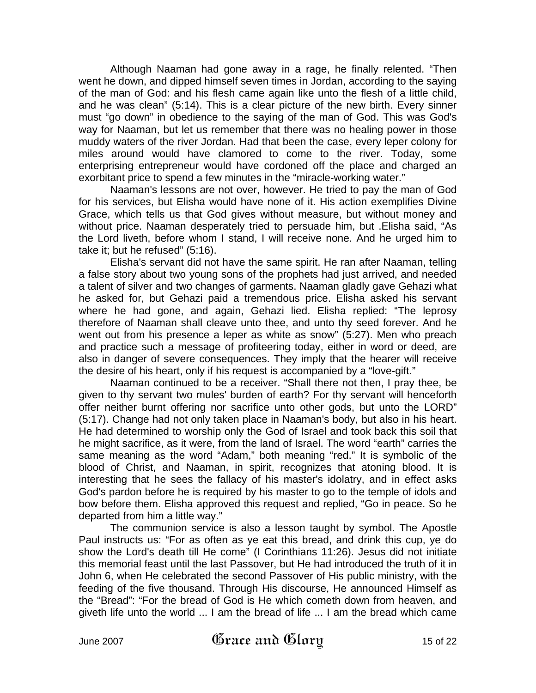Although Naaman had gone away in a rage, he finally relented. "Then went he down, and dipped himself seven times in Jordan, according to the saying of the man of God: and his flesh came again like unto the flesh of a little child, and he was clean" (5:14). This is a clear picture of the new birth. Every sinner must "go down" in obedience to the saying of the man of God. This was God's way for Naaman, but let us remember that there was no healing power in those muddy waters of the river Jordan. Had that been the case, every leper colony for miles around would have clamored to come to the river. Today, some enterprising entrepreneur would have cordoned off the place and charged an exorbitant price to spend a few minutes in the "miracle-working water."

Naaman's lessons are not over, however. He tried to pay the man of God for his services, but Elisha would have none of it. His action exemplifies Divine Grace, which tells us that God gives without measure, but without money and without price. Naaman desperately tried to persuade him, but .Elisha said, "As the Lord liveth, before whom I stand, I will receive none. And he urged him to take it; but he refused" (5:16).

Elisha's servant did not have the same spirit. He ran after Naaman, telling a false story about two young sons of the prophets had just arrived, and needed a talent of silver and two changes of garments. Naaman gladly gave Gehazi what he asked for, but Gehazi paid a tremendous price. Elisha asked his servant where he had gone, and again, Gehazi lied. Elisha replied: "The leprosy therefore of Naaman shall cleave unto thee, and unto thy seed forever. And he went out from his presence a leper as white as snow" (5:27). Men who preach and practice such a message of profiteering today, either in word or deed, are also in danger of severe consequences. They imply that the hearer will receive the desire of his heart, only if his request is accompanied by a "love-gift."

Naaman continued to be a receiver. "Shall there not then, I pray thee, be given to thy servant two mules' burden of earth? For thy servant will henceforth offer neither burnt offering nor sacrifice unto other gods, but unto the LORD" (5:17). Change had not only taken place in Naaman's body, but also in his heart. He had determined to worship only the God of Israel and took back this soil that he might sacrifice, as it were, from the land of Israel. The word "earth" carries the same meaning as the word "Adam," both meaning "red." It is symbolic of the blood of Christ, and Naaman, in spirit, recognizes that atoning blood. It is interesting that he sees the fallacy of his master's idolatry, and in effect asks God's pardon before he is required by his master to go to the temple of idols and bow before them. Elisha approved this request and replied, "Go in peace. So he departed from him a little way."

The communion service is also a lesson taught by symbol. The Apostle Paul instructs us: "For as often as ye eat this bread, and drink this cup, ye do show the Lord's death till He come" (I Corinthians 11:26). Jesus did not initiate this memorial feast until the last Passover, but He had introduced the truth of it in John 6, when He celebrated the second Passover of His public ministry, with the feeding of the five thousand. Through His discourse, He announced Himself as the "Bread": "For the bread of God is He which cometh down from heaven, and giveth life unto the world ... I am the bread of life ... I am the bread which came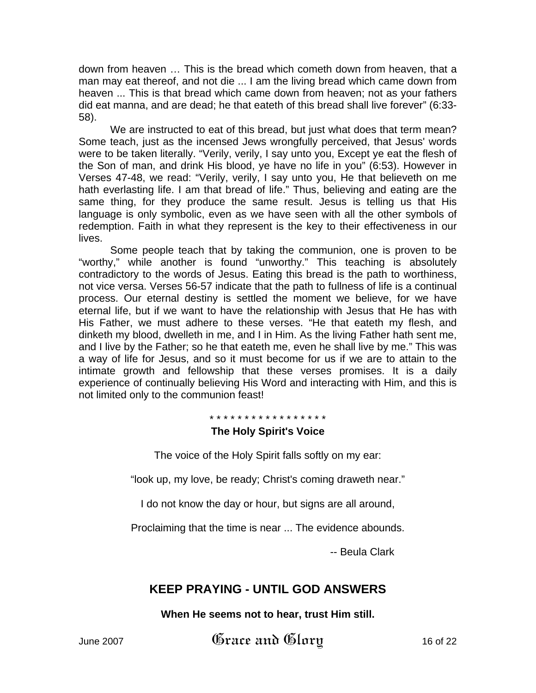down from heaven … This is the bread which cometh down from heaven, that a man may eat thereof, and not die ... I am the living bread which came down from heaven ... This is that bread which came down from heaven; not as your fathers did eat manna, and are dead; he that eateth of this bread shall live forever" (6:33- 58).

We are instructed to eat of this bread, but just what does that term mean? Some teach, just as the incensed Jews wrongfully perceived, that Jesus' words were to be taken literally. "Verily, verily, I say unto you, Except ye eat the flesh of the Son of man, and drink His blood, ye have no life in you" (6:53). However in Verses 47-48, we read: "Verily, verily, I say unto you, He that believeth on me hath everlasting life. I am that bread of life." Thus, believing and eating are the same thing, for they produce the same result. Jesus is telling us that His language is only symbolic, even as we have seen with all the other symbols of redemption. Faith in what they represent is the key to their effectiveness in our lives.

Some people teach that by taking the communion, one is proven to be "worthy," while another is found "unworthy." This teaching is absolutely contradictory to the words of Jesus. Eating this bread is the path to worthiness, not vice versa. Verses 56-57 indicate that the path to fullness of life is a continual process. Our eternal destiny is settled the moment we believe, for we have eternal life, but if we want to have the relationship with Jesus that He has with His Father, we must adhere to these verses. "He that eateth my flesh, and dinketh my blood, dwelleth in me, and I in Him. As the living Father hath sent me, and I live by the Father; so he that eateth me, even he shall live by me." This was a way of life for Jesus, and so it must become for us if we are to attain to the intimate growth and fellowship that these verses promises. It is a daily experience of continually believing His Word and interacting with Him, and this is not limited only to the communion feast!

\* \* \* \* \* \* \* \* \* \* \* \* \* \* \* \* \*

## **The Holy Spirit's Voice**

The voice of the Holy Spirit falls softly on my ear:

"look up, my love, be ready; Christ's coming draweth near."

I do not know the day or hour, but signs are all around,

Proclaiming that the time is near ... The evidence abounds.

-- Beula Clark

## **KEEP PRAYING - UNTIL GOD ANSWERS**

**When He seems not to hear, trust Him still.** 

June 2007  $\mathfrak{G}$ race and  $\mathfrak{G}$ lory 16 of 22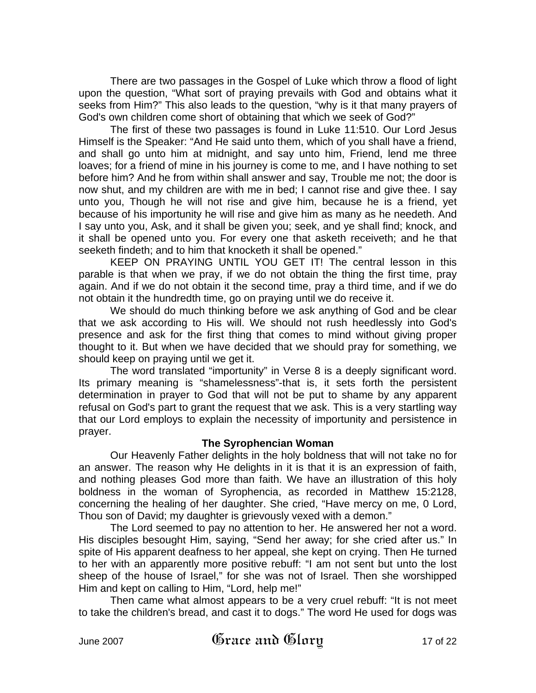There are two passages in the Gospel of Luke which throw a flood of light upon the question, "What sort of praying prevails with God and obtains what it seeks from Him?" This also leads to the question, "why is it that many prayers of God's own children come short of obtaining that which we seek of God?"

The first of these two passages is found in Luke 11:510. Our Lord Jesus Himself is the Speaker: "And He said unto them, which of you shall have a friend, and shall go unto him at midnight, and say unto him, Friend, lend me three loaves; for a friend of mine in his journey is come to me, and I have nothing to set before him? And he from within shall answer and say, Trouble me not; the door is now shut, and my children are with me in bed; I cannot rise and give thee. I say unto you, Though he will not rise and give him, because he is a friend, yet because of his importunity he will rise and give him as many as he needeth. And I say unto you, Ask, and it shall be given you; seek, and ye shall find; knock, and it shall be opened unto you. For every one that asketh receiveth; and he that seeketh findeth; and to him that knocketh it shall be opened."

KEEP ON PRAYING UNTIL YOU GET IT! The central lesson in this parable is that when we pray, if we do not obtain the thing the first time, pray again. And if we do not obtain it the second time, pray a third time, and if we do not obtain it the hundredth time, go on praying until we do receive it.

We should do much thinking before we ask anything of God and be clear that we ask according to His will. We should not rush heedlessly into God's presence and ask for the first thing that comes to mind without giving proper thought to it. But when we have decided that we should pray for something, we should keep on praying until we get it.

The word translated "importunity" in Verse 8 is a deeply significant word. Its primary meaning is "shamelessness"-that is, it sets forth the persistent determination in prayer to God that will not be put to shame by any apparent refusal on God's part to grant the request that we ask. This is a very startling way that our Lord employs to explain the necessity of importunity and persistence in prayer.

## **The Syrophencian Woman**

Our Heavenly Father delights in the holy boldness that will not take no for an answer. The reason why He delights in it is that it is an expression of faith, and nothing pleases God more than faith. We have an illustration of this holy boldness in the woman of Syrophencia, as recorded in Matthew 15:2128, concerning the healing of her daughter. She cried, "Have mercy on me, 0 Lord, Thou son of David; my daughter is grievously vexed with a demon."

The Lord seemed to pay no attention to her. He answered her not a word. His disciples besought Him, saying, "Send her away; for she cried after us." In spite of His apparent deafness to her appeal, she kept on crying. Then He turned to her with an apparently more positive rebuff: "I am not sent but unto the lost sheep of the house of Israel," for she was not of Israel. Then she worshipped Him and kept on calling to Him, "Lord, help me!"

Then came what almost appears to be a very cruel rebuff: "It is not meet to take the children's bread, and cast it to dogs." The word He used for dogs was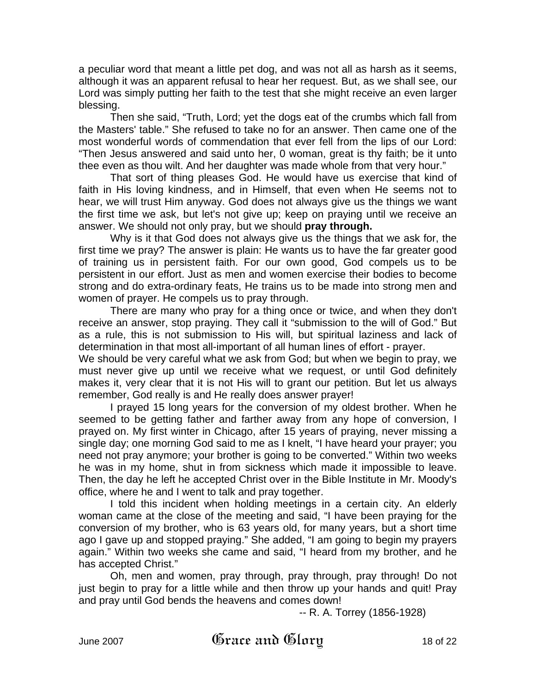a peculiar word that meant a little pet dog, and was not all as harsh as it seems, although it was an apparent refusal to hear her request. But, as we shall see, our Lord was simply putting her faith to the test that she might receive an even larger blessing.

Then she said, "Truth, Lord; yet the dogs eat of the crumbs which fall from the Masters' table." She refused to take no for an answer. Then came one of the most wonderful words of commendation that ever fell from the lips of our Lord: "Then Jesus answered and said unto her, 0 woman, great is thy faith; be it unto thee even as thou wilt. And her daughter was made whole from that very hour."

That sort of thing pleases God. He would have us exercise that kind of faith in His loving kindness, and in Himself, that even when He seems not to hear, we will trust Him anyway. God does not always give us the things we want the first time we ask, but let's not give up; keep on praying until we receive an answer. We should not only pray, but we should **pray through.**

Why is it that God does not always give us the things that we ask for, the first time we pray? The answer is plain: He wants us to have the far greater good of training us in persistent faith. For our own good, God compels us to be persistent in our effort. Just as men and women exercise their bodies to become strong and do extra-ordinary feats, He trains us to be made into strong men and women of prayer. He compels us to pray through.

There are many who pray for a thing once or twice, and when they don't receive an answer, stop praying. They call it "submission to the will of God." But as a rule, this is not submission to His will, but spiritual laziness and lack of determination in that most all-important of all human lines of effort - prayer.

We should be very careful what we ask from God; but when we begin to pray, we must never give up until we receive what we request, or until God definitely makes it, very clear that it is not His will to grant our petition. But let us always remember, God really is and He really does answer prayer!

I prayed 15 long years for the conversion of my oldest brother. When he seemed to be getting father and farther away from any hope of conversion, I prayed on. My first winter in Chicago, after 15 years of praying, never missing a single day; one morning God said to me as I knelt, "I have heard your prayer; you need not pray anymore; your brother is going to be converted." Within two weeks he was in my home, shut in from sickness which made it impossible to leave. Then, the day he left he accepted Christ over in the Bible Institute in Mr. Moody's office, where he and I went to talk and pray together.

I told this incident when holding meetings in a certain city. An elderly woman came at the close of the meeting and said, "I have been praying for the conversion of my brother, who is 63 years old, for many years, but a short time ago I gave up and stopped praying." She added, "I am going to begin my prayers again." Within two weeks she came and said, "I heard from my brother, and he has accepted Christ."

Oh, men and women, pray through, pray through, pray through! Do not just begin to pray for a little while and then throw up your hands and quit! Pray and pray until God bends the heavens and comes down!

-- R. A. Torrey (1856-1928)

June 2007  $\mathfrak{G}$ race and  $\mathfrak{G}$ lory 18 of 22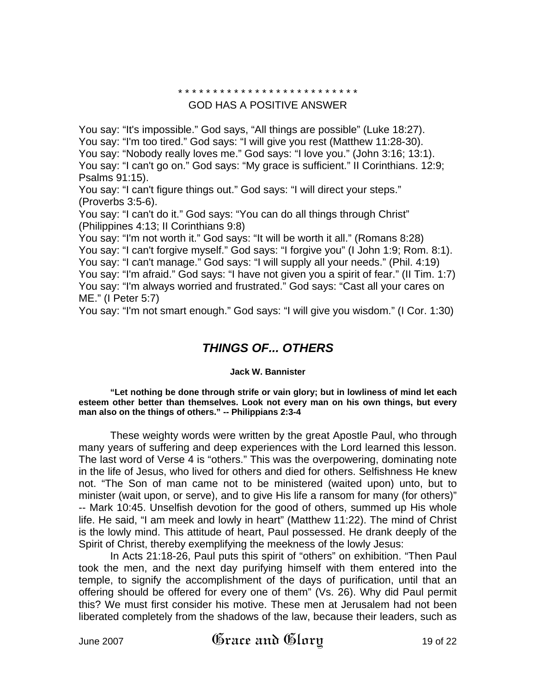#### \* \* \* \* \* \* \* \* \* \* \* \* \* \* \* \* \* \* \* \* \* \* \* \* \* \*

#### GOD HAS A POSITIVE ANSWER

You say: "It's impossible." God says, "All things are possible" (Luke 18:27). You say: "I'm too tired." God says: "I will give you rest (Matthew 11:28-30). You say: "Nobody really loves me." God says: "I love you." (John 3:16; 13:1). You say: "I can't go on." God says: "My grace is sufficient." II Corinthians. 12:9; Psalms 91:15).

You say: "I can't figure things out." God says: "I will direct your steps." (Proverbs 3:5-6).

You say: "I can't do it." God says: "You can do all things through Christ" (Philippines 4:13; II Corinthians 9:8)

You say: "I'm not worth it." God says: "It will be worth it all." (Romans 8:28) You say: "I can't forgive myself." God says: "I forgive you" (I John 1:9; Rom. 8:1). You say: "I can't manage." God says: "I will supply all your needs." (Phil. 4:19) You say: "I'm afraid." God says: "I have not given you a spirit of fear." (II Tim. 1:7) You say: "I'm always worried and frustrated." God says: "Cast all your cares on ME." (I Peter 5:7)

You say: "I'm not smart enough." God says: "I will give you wisdom." (I Cor. 1:30)

## *THINGS OF... OTHERS*

#### **Jack W. Bannister**

**"Let nothing be done through strife or vain glory; but in lowliness of mind let each esteem other better than themselves. Look not every man on his own things, but every man also on the things of others." -- Philippians 2:3-4** 

These weighty words were written by the great Apostle Paul, who through many years of suffering and deep experiences with the Lord learned this lesson. The last word of Verse 4 is "others." This was the overpowering, dominating note in the life of Jesus, who lived for others and died for others. Selfishness He knew not. "The Son of man came not to be ministered (waited upon) unto, but to minister (wait upon, or serve), and to give His life a ransom for many (for others)" -- Mark 10:45. Unselfish devotion for the good of others, summed up His whole life. He said, "I am meek and lowly in heart" (Matthew 11:22). The mind of Christ is the lowly mind. This attitude of heart, Paul possessed. He drank deeply of the Spirit of Christ, thereby exemplifying the meekness of the lowly Jesus:

In Acts 21:18-26, Paul puts this spirit of "others" on exhibition. "Then Paul took the men, and the next day purifying himself with them entered into the temple, to signify the accomplishment of the days of purification, until that an offering should be offered for every one of them" (Vs. 26). Why did Paul permit this? We must first consider his motive. These men at Jerusalem had not been liberated completely from the shadows of the law, because their leaders, such as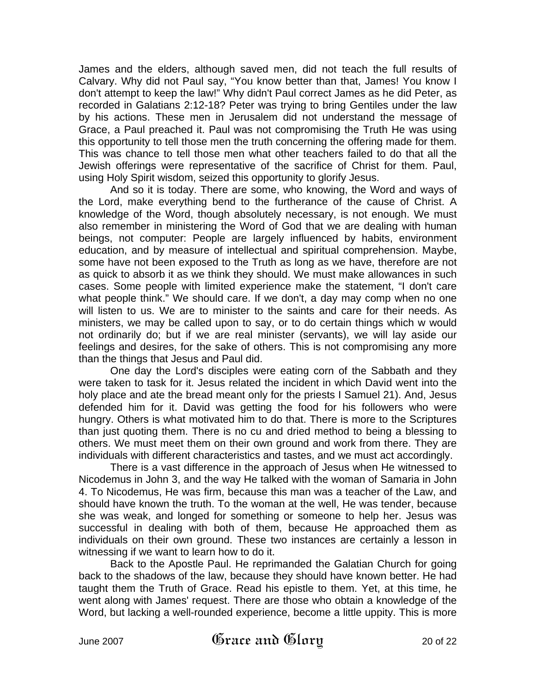James and the elders, although saved men, did not teach the full results of Calvary. Why did not Paul say, "You know better than that, James! You know I don't attempt to keep the law!" Why didn't Paul correct James as he did Peter, as recorded in Galatians 2:12-18? Peter was trying to bring Gentiles under the law by his actions. These men in Jerusalem did not understand the message of Grace, a Paul preached it. Paul was not compromising the Truth He was using this opportunity to tell those men the truth concerning the offering made for them. This was chance to tell those men what other teachers failed to do that all the Jewish offerings were representative of the sacrifice of Christ for them. Paul, using Holy Spirit wisdom, seized this opportunity to glorify Jesus.

And so it is today. There are some, who knowing, the Word and ways of the Lord, make everything bend to the furtherance of the cause of Christ. A knowledge of the Word, though absolutely necessary, is not enough. We must also remember in ministering the Word of God that we are dealing with human beings, not computer: People are largely influenced by habits, environment education, and by measure of intellectual and spiritual comprehension. Maybe, some have not been exposed to the Truth as long as we have, therefore are not as quick to absorb it as we think they should. We must make allowances in such cases. Some people with limited experience make the statement, "I don't care what people think." We should care. If we don't, a day may comp when no one will listen to us. We are to minister to the saints and care for their needs. As ministers, we may be called upon to say, or to do certain things which w would not ordinarily do; but if we are real minister (servants), we will lay aside our feelings and desires, for the sake of others. This is not compromising any more than the things that Jesus and Paul did.

One day the Lord's disciples were eating corn of the Sabbath and they were taken to task for it. Jesus related the incident in which David went into the holy place and ate the bread meant only for the priests I Samuel 21). And, Jesus defended him for it. David was getting the food for his followers who were hungry. Others is what motivated him to do that. There is more to the Scriptures than just quoting them. There is no cu and dried method to being a blessing to others. We must meet them on their own ground and work from there. They are individuals with different characteristics and tastes, and we must act accordingly.

There is a vast difference in the approach of Jesus when He witnessed to Nicodemus in John 3, and the way He talked with the woman of Samaria in John 4. To Nicodemus, He was firm, because this man was a teacher of the Law, and should have known the truth. To the woman at the well, He was tender, because she was weak, and longed for something or someone to help her. Jesus was successful in dealing with both of them, because He approached them as individuals on their own ground. These two instances are certainly a lesson in witnessing if we want to learn how to do it.

Back to the Apostle Paul. He reprimanded the Galatian Church for going back to the shadows of the law, because they should have known better. He had taught them the Truth of Grace. Read his epistle to them. Yet, at this time, he went along with James' request. There are those who obtain a knowledge of the Word, but lacking a well-rounded experience, become a little uppity. This is more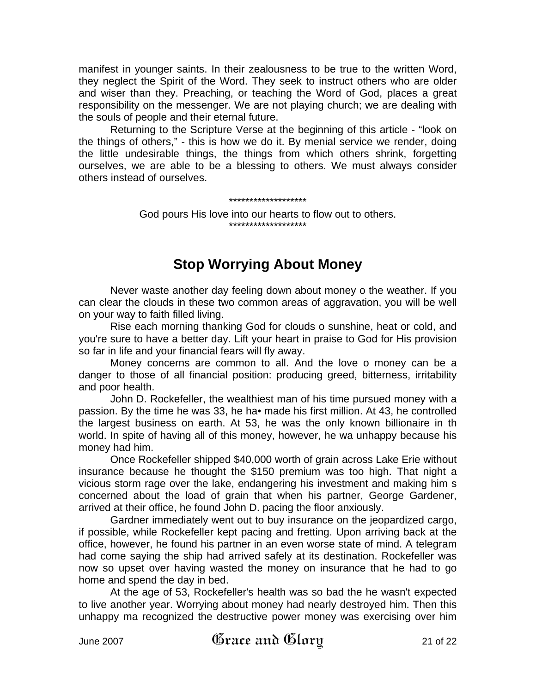manifest in younger saints. In their zealousness to be true to the written Word, they neglect the Spirit of the Word. They seek to instruct others who are older and wiser than they. Preaching, or teaching the Word of God, places a great responsibility on the messenger. We are not playing church; we are dealing with the souls of people and their eternal future.

Returning to the Scripture Verse at the beginning of this article - "look on the things of others," - this is how we do it. By menial service we render, doing the little undesirable things, the things from which others shrink, forgetting ourselves, we are able to be a blessing to others. We must always consider others instead of ourselves.

#### \*\*\*\*\*\*\*\*\*\*\*\*\*\*\*\*\*\*\*

God pours His love into our hearts to flow out to others. \*\*\*\*\*\*\*\*\*\*\*\*\*\*\*\*\*\*\*

# **Stop Worrying About Money**

Never waste another day feeling down about money o the weather. If you can clear the clouds in these two common areas of aggravation, you will be well on your way to faith filled living.

Rise each morning thanking God for clouds o sunshine, heat or cold, and you're sure to have a better day. Lift your heart in praise to God for His provision so far in life and your financial fears will fly away.

Money concerns are common to all. And the love o money can be a danger to those of all financial position: producing greed, bitterness, irritability and poor health.

John D. Rockefeller, the wealthiest man of his time pursued money with a passion. By the time he was 33, he ha• made his first million. At 43, he controlled the largest business on earth. At 53, he was the only known billionaire in th world. In spite of having all of this money, however, he wa unhappy because his money had him.

Once Rockefeller shipped \$40,000 worth of grain across Lake Erie without insurance because he thought the \$150 premium was too high. That night a vicious storm rage over the lake, endangering his investment and making him s concerned about the load of grain that when his partner, George Gardener, arrived at their office, he found John D. pacing the floor anxiously.

Gardner immediately went out to buy insurance on the jeopardized cargo, if possible, while Rockefeller kept pacing and fretting. Upon arriving back at the office, however, he found his partner in an even worse state of mind. A telegram had come saying the ship had arrived safely at its destination. Rockefeller was now so upset over having wasted the money on insurance that he had to go home and spend the day in bed.

At the age of 53, Rockefeller's health was so bad the he wasn't expected to live another year. Worrying about money had nearly destroyed him. Then this unhappy ma recognized the destructive power money was exercising over him